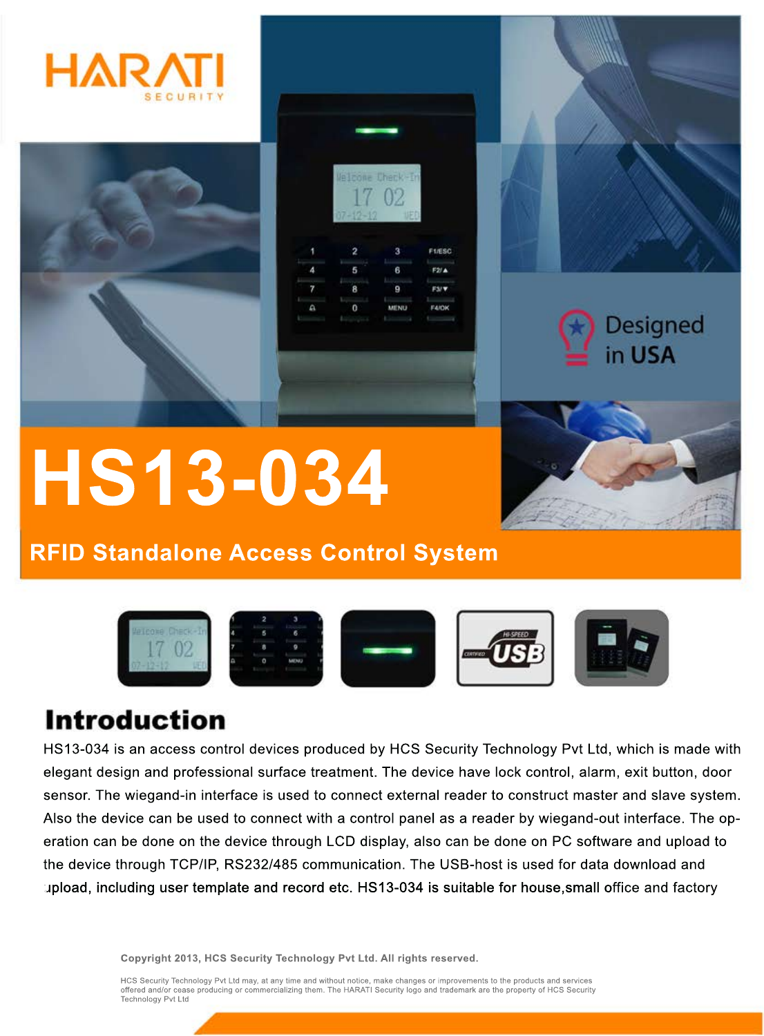









# **HS13-034**

## **RFID Standalone Access Control System**



## **Introduction**

HS13-034 is an access control devices produced by HCS Security Technology Pvt Ltd, which is made with elegant design and professional surface treatment. The device have lock control, alarm, exit button, door sensor. The wiegand-in interface is used to connect external reader to construct master and slave system. Also the device can be used to connect with a control panel as a reader by wiegand-out interface. The operation can be done on the device through LCD display, also can be done on PC software and upload to the device through TCP/IP, RS232/485 communication. The USB-host is used for data download and upload, including user template and record etc. HS13-034 is suitable for house, small office and factory

**Copyright 2013, HCS Security Technology Pvt Ltd. All rights reserved.**

HCS Security Technology Pvt Ltd may, at any time and without notice, make changes or improvements to the products and services offered and/or cease producing or commercializing them. The HARATI Security logo and trademark are the property of HCS Security Technology Pvt Ltd